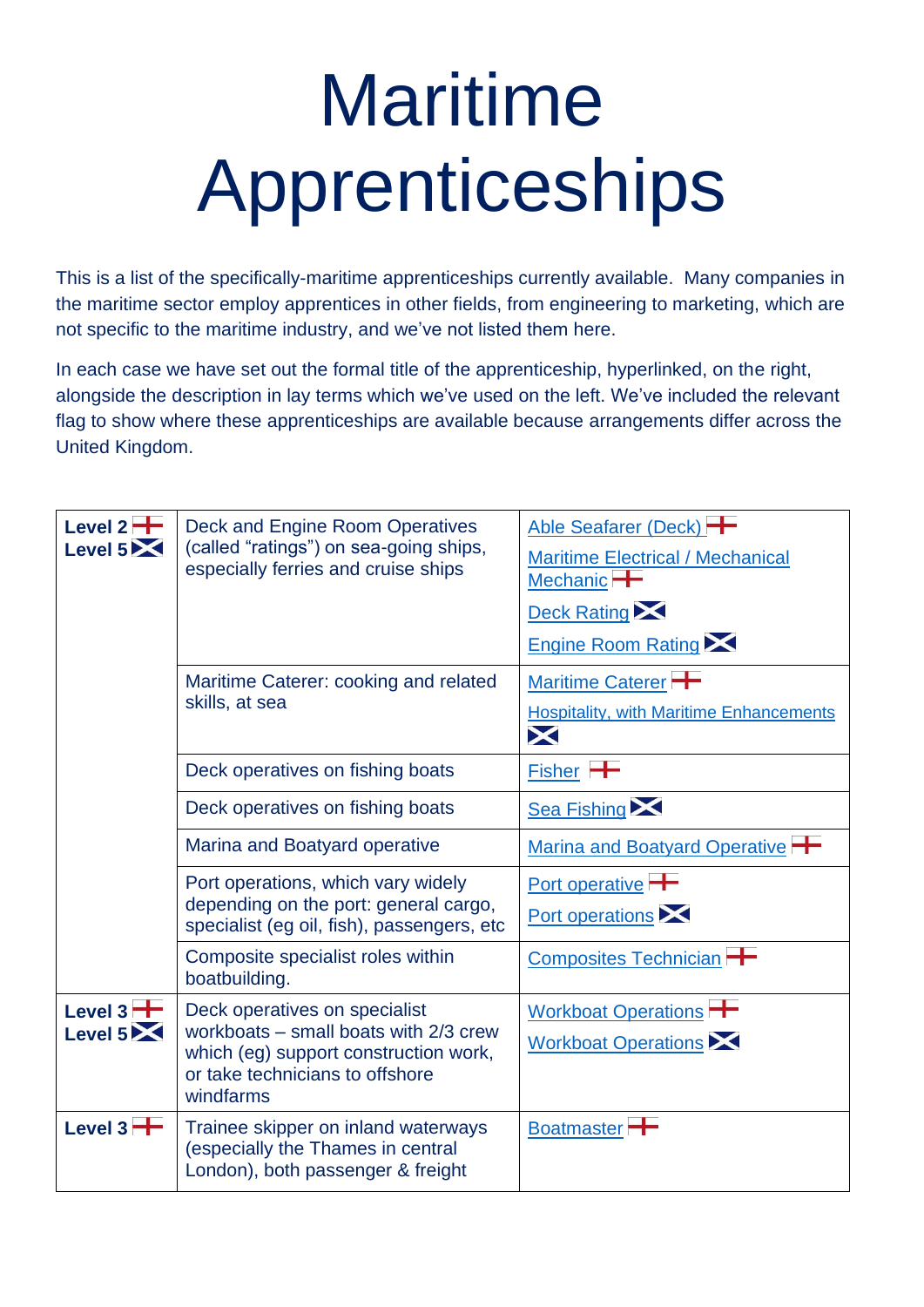## Maritime Apprenticeships

This is a list of the specifically-maritime apprenticeships currently available. Many companies in the maritime sector employ apprentices in other fields, from engineering to marketing, which are not specific to the maritime industry, and we've not listed them here.

In each case we have set out the formal title of the apprenticeship, hyperlinked, on the right, alongside the description in lay terms which we've used on the left. We've included the relevant flag to show where these apprenticeships are available because arrangements differ across the United Kingdom.

| Level $2 -$<br>Level 5 | Deck and Engine Room Operatives<br>(called "ratings") on sea-going ships,<br>especially ferries and cruise ships                                                  | Able Seafarer (Deck)<br><b>Maritime Electrical / Mechanical</b><br>Mechanic <sup>-</sup><br><b>Deck Rating XX</b><br><b>Engine Room Rating XX</b> |
|------------------------|-------------------------------------------------------------------------------------------------------------------------------------------------------------------|---------------------------------------------------------------------------------------------------------------------------------------------------|
|                        | Maritime Caterer: cooking and related<br>skills, at sea                                                                                                           | Maritime Caterer<br><b>Hospitality, with Maritime Enhancements</b><br>X                                                                           |
|                        | Deck operatives on fishing boats                                                                                                                                  | $Fisher$ +                                                                                                                                        |
|                        | Deck operatives on fishing boats                                                                                                                                  | <b>Sea Fishing XX</b>                                                                                                                             |
|                        | Marina and Boatyard operative                                                                                                                                     | Marina and Boatyard Operative                                                                                                                     |
|                        | Port operations, which vary widely<br>depending on the port: general cargo,<br>specialist (eg oil, fish), passengers, etc                                         | Port operative<br>Port operations                                                                                                                 |
|                        | Composite specialist roles within<br>boatbuilding.                                                                                                                | Composites Technician                                                                                                                             |
| Level $3 +$<br>Level 5 | Deck operatives on specialist<br>workboats $-$ small boats with 2/3 crew<br>which (eg) support construction work,<br>or take technicians to offshore<br>windfarms | Workboat Operations<br><b>Workboat Operations</b>                                                                                                 |
| Level $3 +$            | Trainee skipper on inland waterways<br>(especially the Thames in central<br>London), both passenger & freight                                                     | Boatmaster <sup>-</sup>                                                                                                                           |